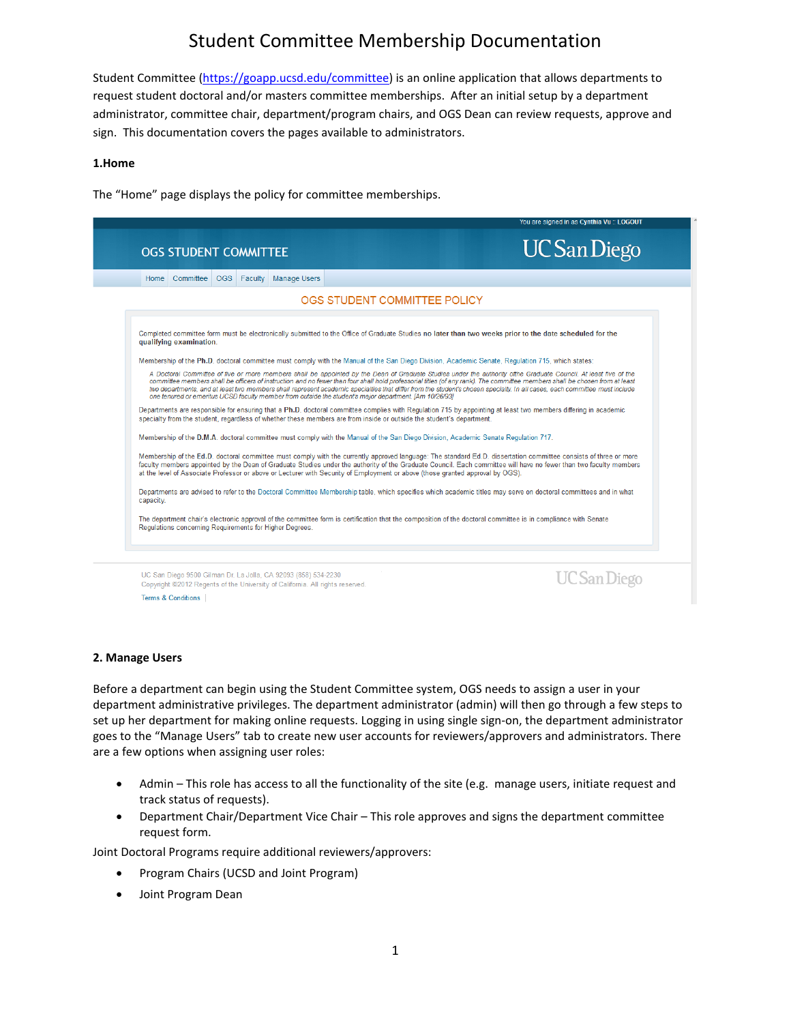Student Committee [\(https://goapp.ucsd.edu/committee\)](https://goapp.ucsd.edu/committee) is an online application that allows departments to request student doctoral and/or masters committee memberships. After an initial setup by a department administrator, committee chair, department/program chairs, and OGS Dean can review requests, approve and sign. This documentation covers the pages available to administrators.

### **1.Home**

The "Home" page displays the policy for committee memberships.



#### **2. Manage Users**

Before a department can begin using the Student Committee system, OGS needs to assign a user in your department administrative privileges. The department administrator (admin) will then go through a few steps to set up her department for making online requests. Logging in using single sign-on, the department administrator goes to the "Manage Users" tab to create new user accounts for reviewers/approvers and administrators. There are a few options when assigning user roles:

- Admin This role has access to all the functionality of the site (e.g. manage users, initiate request and track status of requests).
- Department Chair/Department Vice Chair This role approves and signs the department committee request form.

Joint Doctoral Programs require additional reviewers/approvers:

- Program Chairs (UCSD and Joint Program)
- Joint Program Dean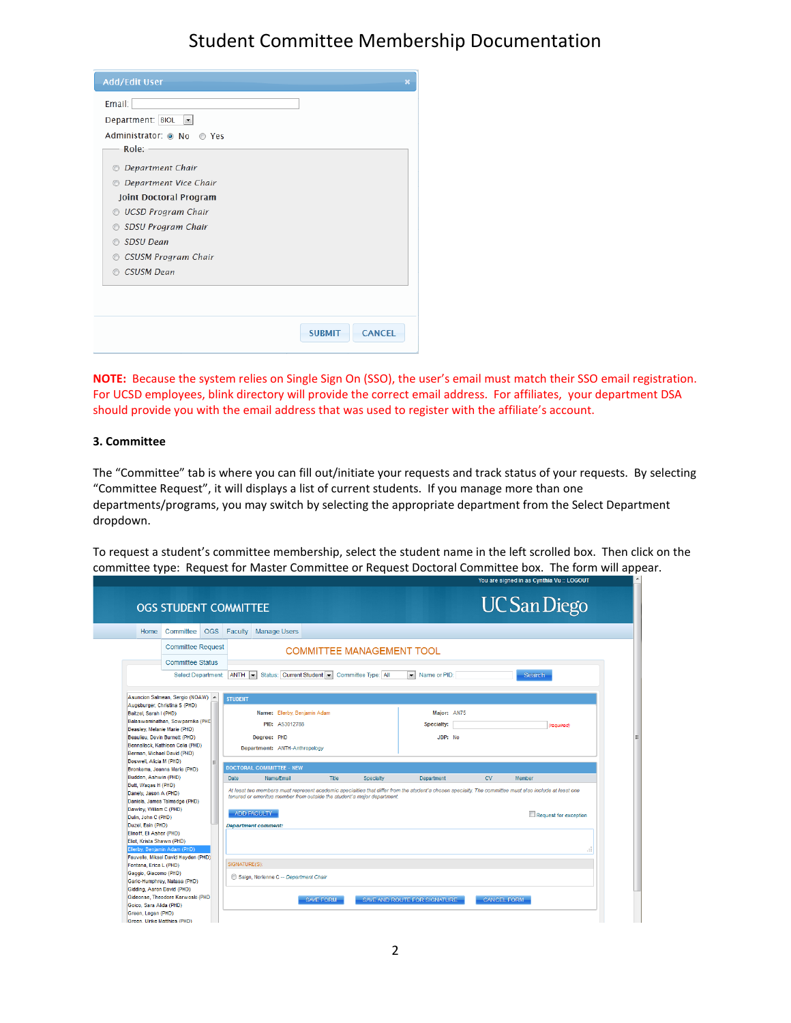| <b>Add/Edit User</b>                     |                                |
|------------------------------------------|--------------------------------|
| Email:                                   |                                |
| Department: BIOL<br>$\blacktriangledown$ |                                |
| Administrator: O No O Yes                |                                |
| Role:                                    |                                |
| <b>C</b> Department Chair                |                                |
| <b>C</b> Department Vice Chair           |                                |
| <b>Joint Doctoral Program</b>            |                                |
| O UCSD Program Chair                     |                                |
| SDSU Program Chair<br>$\odot$            |                                |
| SDSU Dean<br>∩                           |                                |
| <b>CSUSM Program Chair</b><br>$\odot$    |                                |
| <b>CSUSM Dean</b><br>⋒                   |                                |
|                                          |                                |
|                                          |                                |
|                                          |                                |
|                                          | <b>CANCEL</b><br><b>SURMIT</b> |

**NOTE:** Because the system relies on Single Sign On (SSO), the user's email must match their SSO email registration. For UCSD employees, blink directory will provide the correct email address. For affiliates, your department DSA should provide you with the email address that was used to register with the affiliate's account.

### **3. Committee**

The "Committee" tab is where you can fill out/initiate your requests and track status of your requests. By selecting "Committee Request", it will displays a list of current students. If you manage more than one departments/programs, you may switch by selecting the appropriate department from the Select Department dropdown.

To request a student's committee membership, select the student name in the left scrolled box. Then click on the committee type: Request for Master Committee or Request Doctoral Committee box. The form will appear.<br>
Sult of the southing Vullation and the southing Vullation and the southing Vullation and the southing Vullation and the

L FI

|                                          | <b>OGS STUDENT COMMITTEE</b>        |            |                |                                                                         |                  |                                  |                                                                                                                                                        |                    |               | <b>UC</b> San Diego   |
|------------------------------------------|-------------------------------------|------------|----------------|-------------------------------------------------------------------------|------------------|----------------------------------|--------------------------------------------------------------------------------------------------------------------------------------------------------|--------------------|---------------|-----------------------|
| Home                                     | Committee                           | <b>OGS</b> | Faculty        | <b>Manage Users</b>                                                     |                  |                                  |                                                                                                                                                        |                    |               |                       |
|                                          | <b>Committee Request</b>            |            |                |                                                                         |                  | <b>COMMITTEE MANAGEMENT TOOL</b> |                                                                                                                                                        |                    |               |                       |
|                                          | <b>Committee Status</b>             |            |                |                                                                         |                  |                                  |                                                                                                                                                        |                    |               |                       |
|                                          | <b>Select Department</b>            |            | <b>ANTH</b>    | Status: Current Student<br>$\left  \cdot \right $                       |                  | Committee Type: All              | Name or PID:<br>l vil                                                                                                                                  |                    | <b>Search</b> |                       |
|                                          | Asuncion Salmean, Sergio (NOAW) ^   |            | <b>STUDENT</b> |                                                                         |                  |                                  |                                                                                                                                                        |                    |               |                       |
| Baitzel, Sarah I (PHD)                   | Augsburger, Christina S (PHD)       |            |                | Name: Ellerby, Benjamin Adam                                            |                  |                                  | Major: AN75                                                                                                                                            |                    |               |                       |
|                                          | Balaswaminathan, Sowparnika (PHC    |            |                | PID: A53012788                                                          |                  |                                  | Specialty:                                                                                                                                             |                    |               |                       |
|                                          | Beasley, Melanie Marie (PHD)        |            |                |                                                                         |                  |                                  |                                                                                                                                                        |                    |               | (required)            |
|                                          | Beaulieu, Devin Burnett (PHD)       |            |                | Dearee: PHD                                                             |                  |                                  | JDP: No                                                                                                                                                |                    |               |                       |
|                                          | Bennallack, Kathleen Celia (PHD)    |            |                | Department: ANTH-Anthropology                                           |                  |                                  |                                                                                                                                                        |                    |               |                       |
| Boswell, Alicia M (PHD)                  | Berman, Michael David (PHD)         |            |                |                                                                         |                  |                                  |                                                                                                                                                        |                    |               |                       |
|                                          | Bronkema, Joanna Marie (PHD)        |            |                | <b>DOCTORAL COMMITTEE - NEW</b>                                         |                  |                                  |                                                                                                                                                        |                    |               |                       |
| Budden, Ashwin (PHD)                     |                                     |            | <b>Date</b>    | Name/Email                                                              | <b>Title</b>     | Specialty                        | Department                                                                                                                                             | <b>CV</b>          | Member        |                       |
| Butt, Waqas H (PHD)                      |                                     |            |                |                                                                         |                  |                                  |                                                                                                                                                        |                    |               |                       |
| Danely, Jason A (PHD)                    |                                     |            |                | tenured or emeritus member from outside the student's major department. |                  |                                  | At least two members must represent academic specialties that differ from the student's chosen specialty. The committee must also include at least one |                    |               |                       |
|                                          | Daniels, James Talmadge (PHD)       |            |                |                                                                         |                  |                                  |                                                                                                                                                        |                    |               |                       |
| Dawley, William C (PHD)                  |                                     |            |                | <b>ADD FACULTY</b>                                                      |                  |                                  |                                                                                                                                                        |                    |               | Request for exception |
| Dulin, John C (PHD)<br>Duzel, Esin (PHD) |                                     |            |                | <b>Department comment:</b>                                              |                  |                                  |                                                                                                                                                        |                    |               |                       |
| Elinoff, Eli Asher (PHD)                 |                                     |            |                |                                                                         |                  |                                  |                                                                                                                                                        |                    |               |                       |
| Eliot, Krista Shawn (PHD)                |                                     |            |                |                                                                         |                  |                                  |                                                                                                                                                        |                    |               |                       |
|                                          | Ellerby, Benjamin Adam (PHD)        |            |                |                                                                         |                  |                                  |                                                                                                                                                        |                    |               |                       |
|                                          | Fauvelle, Mikael David Hayden (PHD) |            |                |                                                                         |                  |                                  |                                                                                                                                                        |                    |               |                       |
| Fontana, Erica L (PHD)                   |                                     |            | SIGNATURE(S):  |                                                                         |                  |                                  |                                                                                                                                                        |                    |               |                       |
| Gaggio, Giacomo (PHD)                    |                                     |            |                | Saign, Norienne C -- Department Chair                                   |                  |                                  |                                                                                                                                                        |                    |               |                       |
|                                          | Garic-Humphrey, Natasa (PHD)        |            |                |                                                                         |                  |                                  |                                                                                                                                                        |                    |               |                       |
| Gidding, Aaron David (PHD)               |                                     |            |                |                                                                         |                  |                                  |                                                                                                                                                        |                    |               |                       |
|                                          | Gideonse, Theodore Karwoski (PHD)   |            |                |                                                                         | <b>SAVE FORM</b> |                                  | SAVE AND ROUTE FOR SIGNATURE                                                                                                                           | <b>CANCEL FORM</b> |               |                       |
| Goico, Sara Alida (PHD)                  |                                     |            |                |                                                                         |                  |                                  |                                                                                                                                                        |                    |               |                       |
| Green, Logan (PHD)                       |                                     |            |                |                                                                         |                  |                                  |                                                                                                                                                        |                    |               |                       |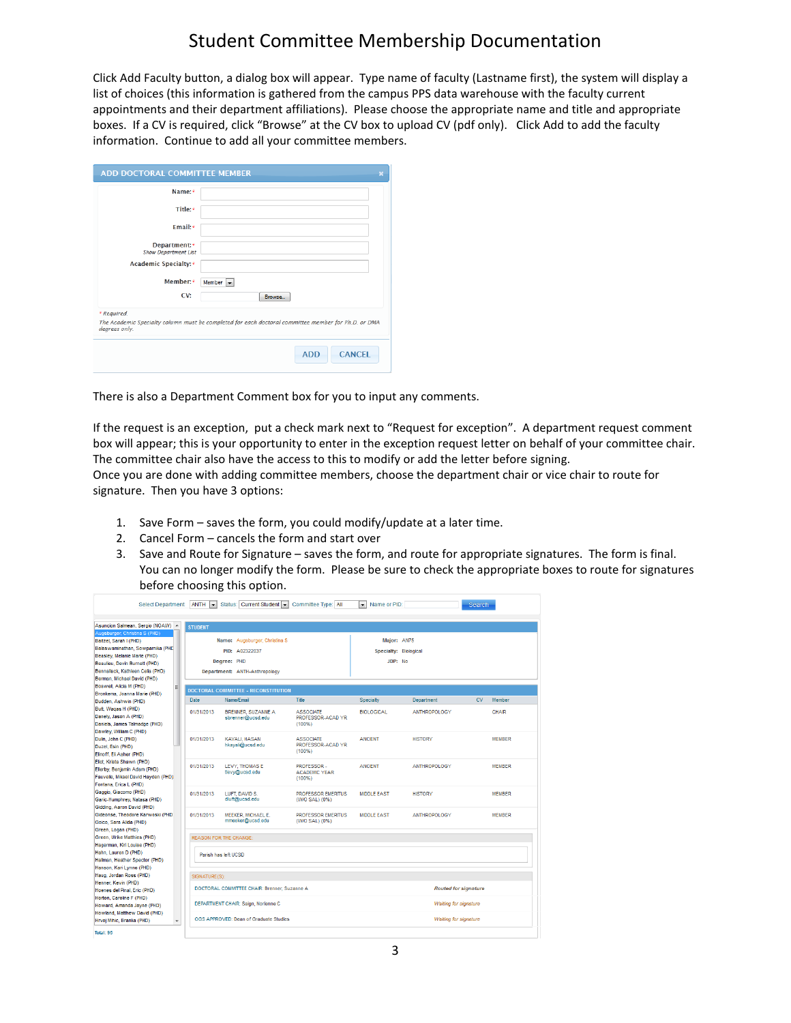Click Add Faculty button, a dialog box will appear. Type name of faculty (Lastname first), the system will display a list of choices (this information is gathered from the campus PPS data warehouse with the faculty current appointments and their department affiliations). Please choose the appropriate name and title and appropriate boxes. If a CV is required, click "Browse" at the CV box to upload CV (pdf only). Click Add to add the faculty information. Continue to add all your committee members.

| <b>ADD DOCTORAL COMMITTEE MEMBER</b>         |                                                                                                     |
|----------------------------------------------|-----------------------------------------------------------------------------------------------------|
| Name:*                                       |                                                                                                     |
| Title:*                                      |                                                                                                     |
| Email:*                                      |                                                                                                     |
| Department: *<br><b>Show Department List</b> |                                                                                                     |
| Academic Specialty:*                         |                                                                                                     |
| Member:*                                     | Member $\vert$ $\vert$                                                                              |
| CV:                                          | <b>Browse</b>                                                                                       |
| * Required.                                  |                                                                                                     |
| degrees only.                                | The Academic Specialty column must be completed for each doctoral committee member for Ph.D. or DMA |
|                                              | <b>CANCEL</b><br><b>ADD</b>                                                                         |

There is also a Department Comment box for you to input any comments.

If the request is an exception, put a check mark next to "Request for exception". A department request comment box will appear; this is your opportunity to enter in the exception request letter on behalf of your committee chair. The committee chair also have the access to this to modify or add the letter before signing.

Once you are done with adding committee members, choose the department chair or vice chair to route for signature. Then you have 3 options:

- 1. Save Form saves the form, you could modify/update at a later time.
- 2. Cancel Form cancels the form and start over
- 3. Save and Route for Signature saves the form, and route for appropriate signatures. The form is final. You can no longer modify the form. Please be sure to check the appropriate boxes to route for signatures before choosing this option.

| <b>Select Department:</b>                                                             | $ANTH$ $\bullet$ | Status: Current Student                      | Committee Type: All                         | Name or PID:<br>$\mathbf{v}$ |                              | Search              |
|---------------------------------------------------------------------------------------|------------------|----------------------------------------------|---------------------------------------------|------------------------------|------------------------------|---------------------|
| Asuncion Salmean, Sergio (NOAW) A                                                     | <b>STUDENT</b>   |                                              |                                             |                              |                              |                     |
| Augsburger, Christina S (PHD)                                                         |                  |                                              |                                             |                              |                              |                     |
| Baitzel, Sarah I (PHD)                                                                |                  | Name: Augsburger, Christina S                |                                             | Maior: AN75                  |                              |                     |
| Balaswaminathan, Sowparnika (PHC)                                                     |                  | PID: A02322037                               |                                             | Specialty: Biological        |                              |                     |
| Beasley, Melanie Marie (PHD)                                                          |                  | Degree: PHD                                  |                                             | JDP: No                      |                              |                     |
| Beaulieu, Devin Burnett (PHD)<br>Bennallack, Kathleen Celia (PHD)                     |                  |                                              |                                             |                              |                              |                     |
| Berman, Michael David (PHD)                                                           |                  | Department: ANTH-Anthropology                |                                             |                              |                              |                     |
| Boswell, Alicia M (PHD)                                                               |                  |                                              |                                             |                              |                              |                     |
| Ξ<br>Bronkema, Joanna Marie (PHD)                                                     |                  | <b>DOCTORAL COMMITTEE - RECONSTITUTION</b>   |                                             |                              |                              |                     |
| Budden, Ashwin (PHD)                                                                  | Date             | Name/Email                                   | Title                                       | Specialty                    | <b>Department</b>            | <b>CV</b><br>Member |
| Butt, Wagas H (PHD)                                                                   |                  | BRENNER SUZANNE A                            | <b>ASSOCIATE</b>                            |                              |                              | CHAIR               |
| Danely, Jason A (PHD)                                                                 | 01/31/2013       | sbrenner@ucsd.edu                            | PROFESSOR-ACAD YR                           | <b>BIOLOGICAL</b>            | ANTHROPOLOGY                 |                     |
| Daniels, James Talmadge (PHD)                                                         |                  |                                              | (100%                                       |                              |                              |                     |
| Dawley, William C (PHD)                                                               |                  |                                              |                                             |                              |                              |                     |
| Dulin, John C (PHD)                                                                   | 01/31/2013       | <b>KAYALI, HASAN</b>                         | <b>ASSOCIATE</b>                            | <b>ANCIENT</b>               | <b>HISTORY</b>               | <b>MEMBER</b>       |
| Duzel, Esin (PHD)                                                                     |                  | hkayali@ucsd.edu                             | PROFESSOR-ACAD YR                           |                              |                              |                     |
| Elinoff, Eli Asher (PHD)                                                              |                  |                                              | (100%                                       |                              |                              |                     |
| Eliot, Krista Shawn (PHD)                                                             | 01/31/2013       | <b>LEVY. THOMAS E</b>                        | PROFESSOR-                                  | <b>ANCIENT</b>               | <b>ANTHROPOLOGY</b>          | <b>MEMBER</b>       |
| Ellerby, Benjamin Adam (PHD)                                                          |                  | tlevy@ucsd.edu                               | <b>ACADEMIC YEAR</b>                        |                              |                              |                     |
| Fauvelle, Mikael David Hayden (PHD)                                                   |                  |                                              | (100%                                       |                              |                              |                     |
| Fontana, Erica L (PHD)                                                                |                  |                                              |                                             |                              |                              |                     |
| Gaggio, Giacomo (PHD)                                                                 | 01/31/2013       | LUFT. DAVID S.                               | <b>PROFESSOR EMERITUS</b>                   | <b>MIDDLE FAST</b>           | <b>HISTORY</b>               | <b>MEMBER</b>       |
| Garic-Humphrey, Natasa (PHD)                                                          |                  | dluft@ucsd.edu                               | (W/O SAL) (0%)                              |                              |                              |                     |
| Gidding, Aaron David (PHD)                                                            |                  |                                              |                                             |                              |                              |                     |
| Gideonse, Theodore Karwoski (PHD)                                                     | 01/31/2013       | MEEKER, MICHAEL E.<br>mmeeker@ucsd.edu       | <b>PROFESSOR EMERITUS</b><br>(W/O SAL) (0%) | <b>MIDDLE EAST</b>           | <b>ANTHROPOLOGY</b>          | <b>MEMBER</b>       |
| Goico, Sara Alida (PHD)<br>Green, Logan (PHD)                                         |                  |                                              |                                             |                              |                              |                     |
| Green, Ulrike Matthies (PHD)                                                          |                  | <b>REASON FOR THE CHANGE:</b>                |                                             |                              |                              |                     |
| Hagerman, Kiri Louise (PHD)                                                           |                  |                                              |                                             |                              |                              |                     |
| Hahn, Lauren D (PHD)                                                                  |                  | Parish has left UCSD                         |                                             |                              |                              |                     |
| Hallman, Heather Spector (PHD)                                                        |                  |                                              |                                             |                              |                              |                     |
| Hanson, Kari Lynne (PHD)                                                              |                  |                                              |                                             |                              |                              |                     |
| Haug, Jordan Ross (PHD)                                                               | SIGNATURE(S):    |                                              |                                             |                              |                              |                     |
| Henner, Kevin (PHD)                                                                   |                  |                                              |                                             |                              |                              |                     |
| Hoenes del Pinal, Eric (PHD)                                                          |                  | DOCTORAL COMMITTEE CHAIR: Brenner, Suzanne A |                                             |                              | <b>Routed for signature</b>  |                     |
| Horton, Caroline F (PHD)                                                              |                  |                                              |                                             |                              |                              |                     |
| Howard, Amanda Jayne (PHD)                                                            |                  | DEPARTMENT CHAIR: Saign, Norienne C          |                                             |                              | <b>Waiting for signature</b> |                     |
| Howland, Matthew David (PHD)<br>Hrvoj Mihic, Branka (PHD)<br>$\overline{\phantom{a}}$ |                  | OGS APPROVED: Dean of Graduate Studies       |                                             |                              | <b>Waiting for signature</b> |                     |
| Total: 95                                                                             |                  |                                              |                                             |                              |                              |                     |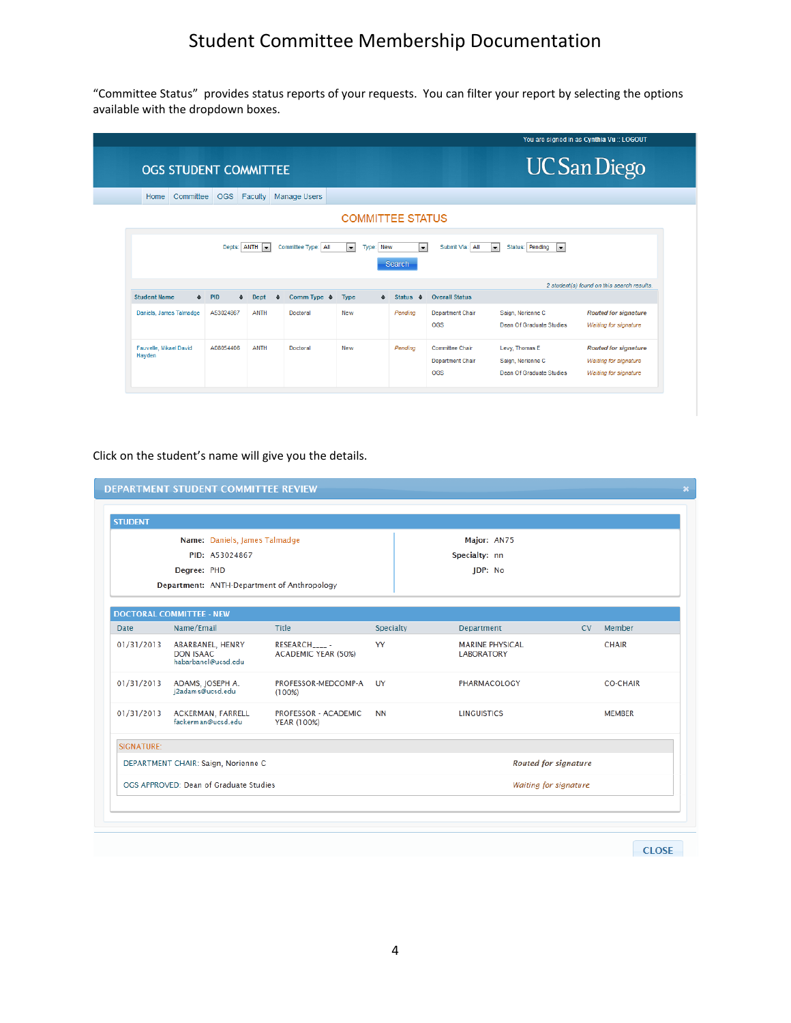"Committee Status" provides status reports of your requests. You can filter your report by selecting the options available with the dropdown boxes.

|                                  |                              |            |                   |                                        |                          |           |                                |                                                          |                                                                         | You are signed in as Cynthia Vu :: LOGOUT                                                   |
|----------------------------------|------------------------------|------------|-------------------|----------------------------------------|--------------------------|-----------|--------------------------------|----------------------------------------------------------|-------------------------------------------------------------------------|---------------------------------------------------------------------------------------------|
|                                  | <b>OGS STUDENT COMMITTEE</b> |            |                   |                                        |                          |           |                                |                                                          |                                                                         | <b>UC</b> San Diego                                                                         |
| Home                             | Committee                    | <b>OGS</b> | Faculty           | Manage Users                           |                          |           |                                |                                                          |                                                                         |                                                                                             |
|                                  |                              |            |                   |                                        |                          |           | <b>COMMITTEE STATUS</b>        |                                                          |                                                                         |                                                                                             |
|                                  |                              |            | Depts: ANTH       | Committee Type: All                    | $\overline{\phantom{0}}$ | Type: New | <b>Search</b>                  | $\overline{\phantom{a}}$<br>Submit Via: All              | Status: Pending<br>$\overline{\phantom{a}}$<br>$\overline{\phantom{a}}$ | 2 student(s) found on this search results.                                                  |
| <b>Student Name</b>              | $\div$                       | <b>PID</b> | Dept<br>$\bullet$ | Comm Type $\triangleq$<br>$\triangleq$ | <b>Type</b>              | ٠         | <b>Status</b><br>$\Rightarrow$ | <b>Overall Status</b>                                    |                                                                         |                                                                                             |
| Daniels, James Talmadge          |                              | A53024867  | <b>ANTH</b>       | Doctoral                               | New                      |           | Pending                        | <b>Department Chair</b><br>OGS                           | Saign, Norienne C<br><b>Dean Of Graduate Studies</b>                    | <b>Routed for signature</b><br><b>Waiting for signature</b>                                 |
| Fauvelle, Mikael David<br>Hayden |                              | A08054406  | <b>ANTH</b>       | Doctoral                               | New                      |           | Pending                        | <b>Committee Chair</b><br><b>Department Chair</b><br>OGS | Levy, Thomas E<br>Saign, Norienne C<br>Dean Of Graduate Studies         | <b>Routed for signature</b><br><b>Waiting for signature</b><br><b>Waiting for signature</b> |

## Click on the student's name will give you the details.

| <b>STUDENT</b> |                                                             |                                        |           |                                             |                             |                 |  |  |
|----------------|-------------------------------------------------------------|----------------------------------------|-----------|---------------------------------------------|-----------------------------|-----------------|--|--|
|                | Name: Daniels, James Talmadge                               |                                        |           | Major: AN75                                 |                             |                 |  |  |
|                | PID: A53024867                                              |                                        |           | Specialty: nn                               |                             |                 |  |  |
|                | Degree: PHD                                                 |                                        |           | JDP: No                                     |                             |                 |  |  |
|                | Department: ANTH-Department of Anthropology                 |                                        |           |                                             |                             |                 |  |  |
|                | <b>DOCTORAL COMMITTEE - NEW</b>                             |                                        |           |                                             |                             |                 |  |  |
| <b>Date</b>    | Name/Email                                                  | Title                                  | Specialty | Department                                  | CV.                         | Member          |  |  |
| 01/31/2013     | ABARBANEL, HENRY<br><b>DON ISAAC</b><br>habarbanel@ucsd.edu | RESEARCH_____ -<br>ACADEMIC YEAR (50%) | YY        | <b>MARINE PHYSICAL</b><br><b>LABORATORY</b> |                             | <b>CHAIR</b>    |  |  |
| 01/31/2013     | ADAMS, JOSEPH A.<br>i2adams@ucsd.edu                        | PROFESSOR-MEDCOMP-A<br>(100%)          | UY        | PHARMACOLOGY                                |                             | <b>CO-CHAIR</b> |  |  |
| 01/31/2013     | ACKERMAN, FARRELL<br>fackerman@ucsd.edu                     | PROFESSOR - ACADEMIC<br>YEAR (100%)    | <b>NN</b> | <b>LINGUISTICS</b>                          |                             | <b>MEMBER</b>   |  |  |
| SIGNATURE:     |                                                             |                                        |           |                                             |                             |                 |  |  |
|                | DEPARTMENT CHAIR: Saign, Norienne C                         |                                        |           |                                             | <b>Routed for signature</b> |                 |  |  |
|                | OGS APPROVED: Dean of Graduate Studies                      |                                        |           | Waiting for signature                       |                             |                 |  |  |
|                |                                                             |                                        |           |                                             |                             |                 |  |  |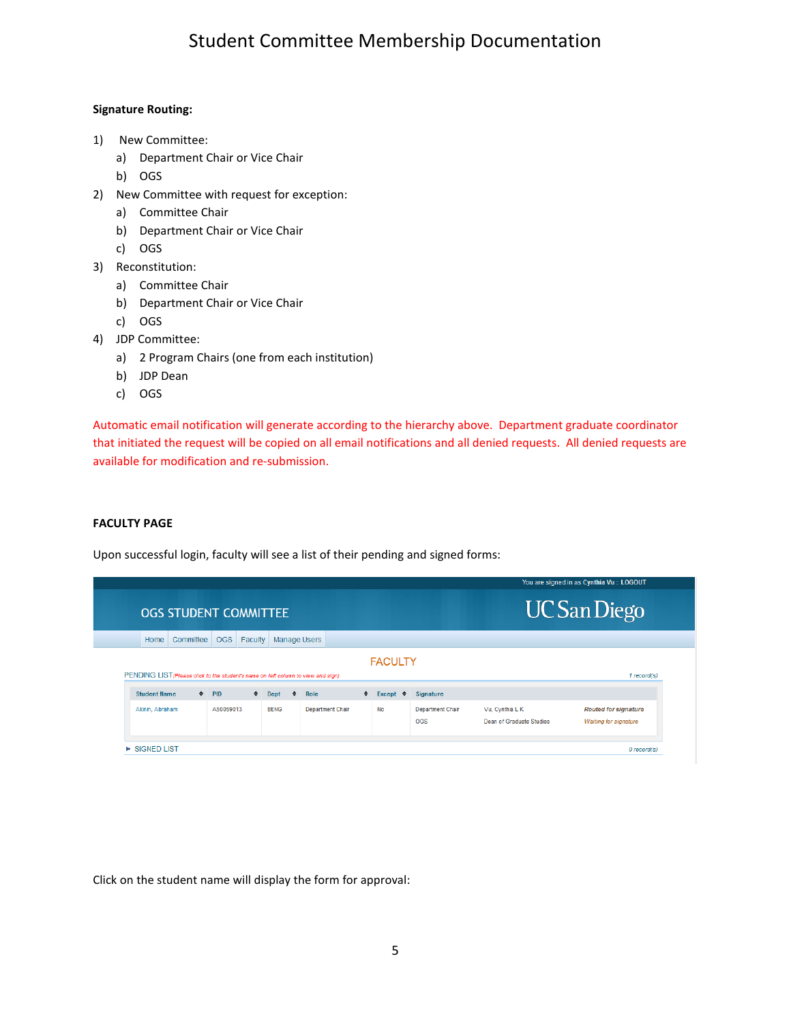### **Signature Routing:**

- 1) New Committee:
	- a) Department Chair or Vice Chair
	- b) OGS
- 2) New Committee with request for exception:
	- a) Committee Chair
	- b) Department Chair or Vice Chair
	- c) OGS
- 3) Reconstitution:
	- a) Committee Chair
	- b) Department Chair or Vice Chair
	- c) OGS
- 4) JDP Committee:
	- a) 2 Program Chairs (one from each institution)
	- b) JDP Dean
	- c) OGS

Automatic email notification will generate according to the hierarchy above. Department graduate coordinator that initiated the request will be copied on all email notifications and all denied requests. All denied requests are available for modification and re-submission.

### **FACULTY PAGE**

Upon successful login, faculty will see a list of their pending and signed forms:

| <b>OGS STUDENT COMMITTEE</b>                                                      |           |            |                             |             |               |      |           |                        |                  | <b>UC San Diego</b> |
|-----------------------------------------------------------------------------------|-----------|------------|-----------------------------|-------------|---------------|------|-----------|------------------------|------------------|---------------------|
| Home                                                                              | Committee | OGS        | <b>Faculty</b> Manage Users |             |               |      |           |                        |                  |                     |
| PENDING LIST (Please click to the student's name on left column to view and sign) |           |            |                             |             |               |      |           | <b>FACULTY</b>         |                  | 1 record(s)         |
| <b>Student Name</b>                                                               |           | $\div$ PID |                             | $\div$ Dept | $\Rightarrow$ | Role | $\bullet$ | Except $\triangleleft$ | <b>Signature</b> |                     |

Click on the student name will display the form for approval: